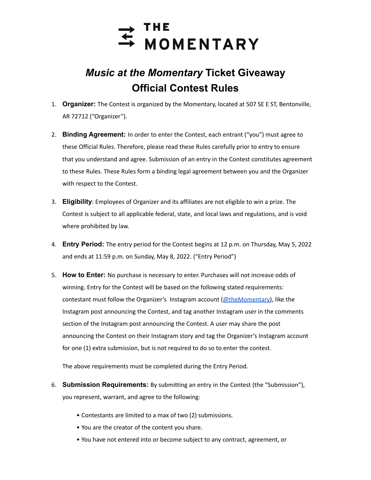

## *Music at the Momentary* **Ticket Giveaway Official Contest Rules**

- 1. **Organizer:** The Contest is organized by the Momentary, located at 507 SE E ST, Bentonville, AR 72712 ("Organizer").
- 2. **Binding Agreement:** In order to enter the Contest, each entrant ("you") must agree to these Official Rules. Therefore, please read these Rules carefully prior to entry to ensure that you understand and agree. Submission of an entry in the Contest constitutes agreement to these Rules. These Rules form a binding legal agreement between you and the Organizer with respect to the Contest.
- 3. **Eligibility**: Employees of Organizer and its affiliates are not eligible to win a prize. The Contest is subject to all applicable federal, state, and local laws and regulations, and is void where prohibited by law.
- 4. **Entry Period:** The entry period for the Contest begins at 12 p.m. on Thursday, May 5, 2022 and ends at 11:59 p.m. on Sunday, May 8, 2022. ("Entry Period")
- 5. **How to Enter:** No purchase is necessary to enter. Purchases will not increase odds of winning. Entry for the Contest will be based on the following stated requirements: contestant must follow the Organizer's Instagram account  $(@$ theMomentary), like the Instagram post announcing the Contest, and tag another Instagram user in the comments section of the Instagram post announcing the Contest. A user may share the post announcing the Contest on their Instagram story and tag the Organizer's Instagram account for one (1) extra submission, but is not required to do so to enter the contest.

The above requirements must be completed during the Entry Period.

- 6. **Submission Requirements:** By submitting an entry in the Contest (the "Submission"), you represent, warrant, and agree to the following:
	- Contestants are limited to a max of two (2) submissions.
	- You are the creator of the content you share.
	- You have not entered into or become subject to any contract, agreement, or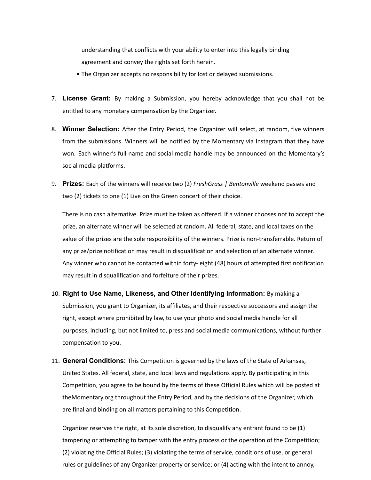understanding that conflicts with your ability to enter into this legally binding agreement and convey the rights set forth herein.

- The Organizer accepts no responsibility for lost or delayed submissions.
- 7. **License Grant:** By making a Submission, you hereby acknowledge that you shall not be entitled to any monetary compensation by the Organizer.
- 8. **Winner Selection:** After the Entry Period, the Organizer will select, at random, five winners from the submissions. Winners will be notified by the Momentary via Instagram that they have won. Each winner's full name and social media handle may be announced on the Momentary's social media platforms.
- 9. **Prizes:** Each of the winners will receive two (2) *FreshGrass | Bentonville* weekend passes and two (2) tickets to one (1) Live on the Green concert of their choice.

There is no cash alternative. Prize must be taken as offered. If a winner chooses not to accept the prize, an alternate winner will be selected at random. All federal, state, and local taxes on the value of the prizes are the sole responsibility of the winners. Prize is non-transferrable. Return of any prize/prize notification may result in disqualification and selection of an alternate winner. Any winner who cannot be contacted within forty- eight (48) hours of attempted first notification may result in disqualification and forfeiture of their prizes.

- 10. **Right to Use Name, Likeness, and Other Identifying Information:** By making a Submission, you grant to Organizer, its affiliates, and their respective successors and assign the right, except where prohibited by law, to use your photo and social media handle for all purposes, including, but not limited to, press and social media communications, without further compensation to you.
- 11. **General Conditions:** This Competition is governed by the laws of the State of Arkansas, United States. All federal, state, and local laws and regulations apply. By participating in this Competition, you agree to be bound by the terms of these Official Rules which will be posted at theMomentary.org throughout the Entry Period, and by the decisions of the Organizer, which are final and binding on all matters pertaining to this Competition.

Organizer reserves the right, at its sole discretion, to disqualify any entrant found to be (1) tampering or attempting to tamper with the entry process or the operation of the Competition; (2) violating the Official Rules; (3) violating the terms of service, conditions of use, or general rules or guidelines of any Organizer property or service; or (4) acting with the intent to annoy,